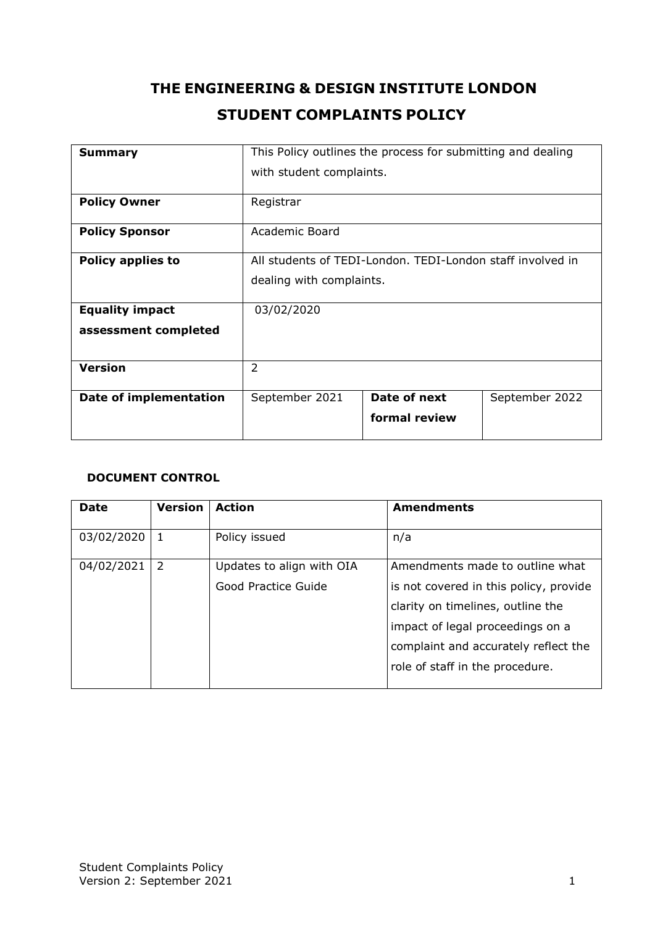# **THE ENGINEERING & DESIGN INSTITUTE LONDON STUDENT COMPLAINTS POLICY**

| <b>Summary</b>                | This Policy outlines the process for submitting and dealing |               |                |
|-------------------------------|-------------------------------------------------------------|---------------|----------------|
|                               | with student complaints.                                    |               |                |
| <b>Policy Owner</b>           | Registrar                                                   |               |                |
| <b>Policy Sponsor</b>         | Academic Board                                              |               |                |
| <b>Policy applies to</b>      | All students of TEDI-London, TEDI-London staff involved in  |               |                |
|                               | dealing with complaints.                                    |               |                |
| <b>Equality impact</b>        | 03/02/2020                                                  |               |                |
| assessment completed          |                                                             |               |                |
| <b>Version</b>                | $\overline{2}$                                              |               |                |
| <b>Date of implementation</b> | September 2021                                              | Date of next  | September 2022 |
|                               |                                                             | formal review |                |

#### **DOCUMENT CONTROL**

| <b>Date</b> | <b>Version</b> | <b>Action</b>             | <b>Amendments</b>                      |
|-------------|----------------|---------------------------|----------------------------------------|
| 03/02/2020  | -1             | Policy issued             | n/a                                    |
| 04/02/2021  | -2             | Updates to align with OIA | Amendments made to outline what        |
|             |                | Good Practice Guide       | is not covered in this policy, provide |
|             |                |                           | clarity on timelines, outline the      |
|             |                |                           | impact of legal proceedings on a       |
|             |                |                           | complaint and accurately reflect the   |
|             |                |                           | role of staff in the procedure.        |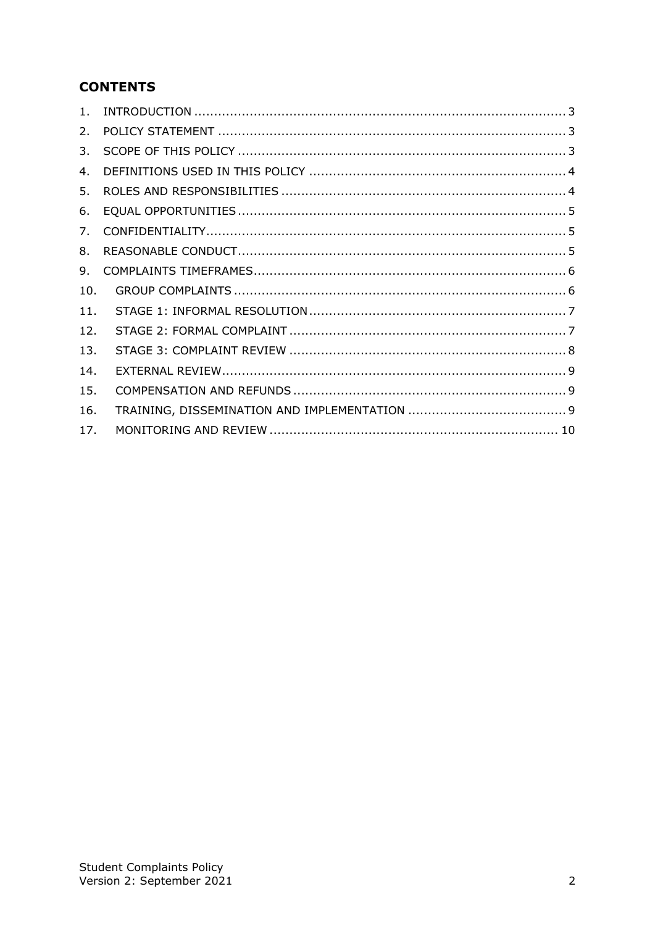# **CONTENTS**

| 1.  |  |
|-----|--|
| 2.  |  |
| 3.  |  |
| 4.  |  |
| 5.  |  |
| 6.  |  |
| 7.  |  |
| 8.  |  |
| 9.  |  |
| 10. |  |
| 11. |  |
| 12. |  |
| 13. |  |
| 14. |  |
| 15. |  |
| 16. |  |
| 17. |  |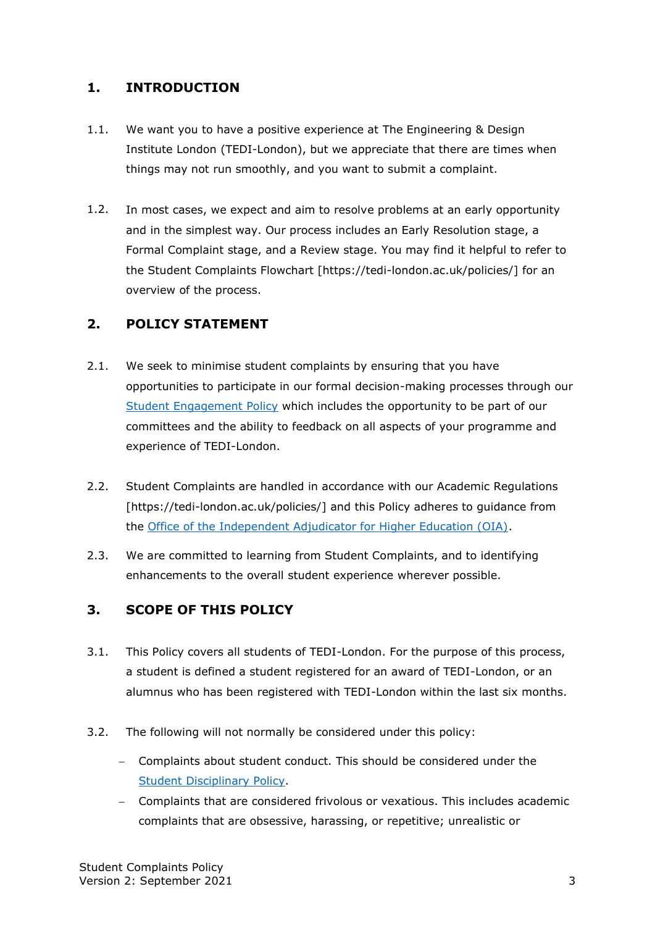#### <span id="page-2-0"></span>**1. INTRODUCTION**

- 1.1. We want you to have a positive experience at The Engineering & Design Institute London (TEDI-London), but we appreciate that there are times when things may not run smoothly, and you want to submit a complaint.
- 1.2. In most cases, we expect and aim to resolve problems at an early opportunity and in the simplest way. Our process includes an Early Resolution stage, a Formal Complaint stage, and a Review stage. You may find it helpful to refer to the Student Complaints Flowchart [https://tedi-london.ac.uk/policies/] for an overview of the process.

#### <span id="page-2-1"></span>**2. POLICY STATEMENT**

- 2.1. We seek to minimise student complaints by ensuring that you have opportunities to participate in our formal decision-making processes through our [Student Engagement Policy](https://tedi-london.ac.uk/policies/) which includes the opportunity to be part of our committees and the ability to feedback on all aspects of your programme and experience of TEDI-London.
- 2.2. Student Complaints are handled in accordance with our Academic Regulations [https://tedi-london.ac.uk/policies/] and this Policy adheres to guidance from the [Office of the Independent Adjudicator for Higher Education \(OIA\).](https://www.oiahe.org.uk/)
- 2.3. We are committed to learning from Student Complaints, and to identifying enhancements to the overall student experience wherever possible.

#### <span id="page-2-2"></span>**3. SCOPE OF THIS POLICY**

- 3.1. This Policy covers all students of TEDI-London. For the purpose of this process, a student is defined a student registered for an award of TEDI-London, or an alumnus who has been registered with TEDI-London within the last six months.
- 3.2. The following will not normally be considered under this policy:
	- − Complaints about student conduct. This should be considered under the [Student Disciplinary Policy.](https://tedi-london.ac.uk/policies/)
	- − Complaints that are considered frivolous or vexatious. This includes academic complaints that are obsessive, harassing, or repetitive; unrealistic or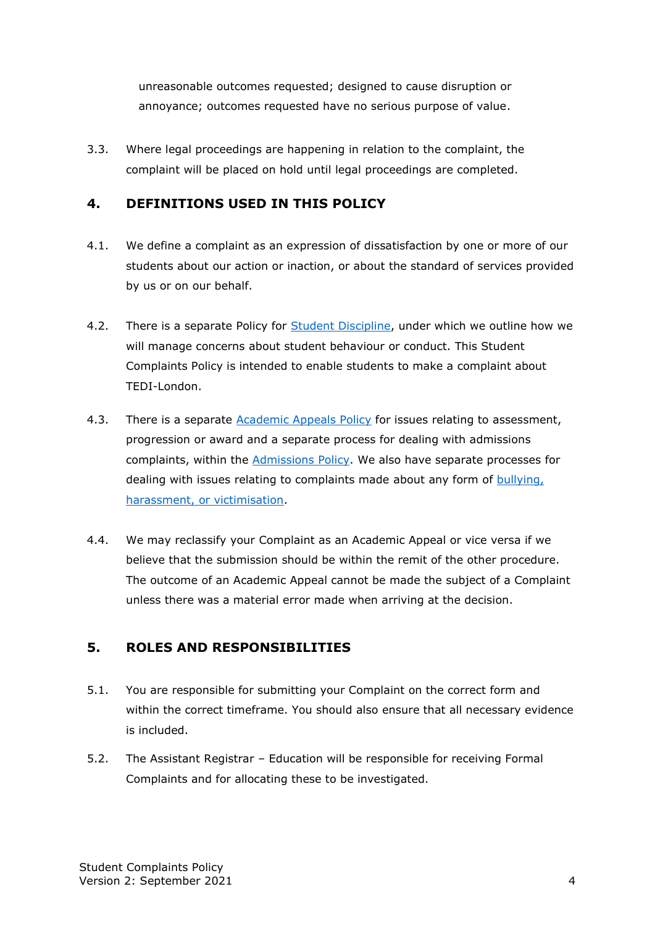unreasonable outcomes requested; designed to cause disruption or annoyance; outcomes requested have no serious purpose of value.

3.3. Where legal proceedings are happening in relation to the complaint, the complaint will be placed on hold until legal proceedings are completed.

### <span id="page-3-0"></span>**4. DEFINITIONS USED IN THIS POLICY**

- 4.1. We define a complaint as an expression of dissatisfaction by one or more of our students about our action or inaction, or about the standard of services provided by us or on our behalf.
- 4.2. There is a separate Policy for [Student Discipline,](https://tedi-london.ac.uk/policies/) under which we outline how we will manage concerns about student behaviour or conduct. This Student Complaints Policy is intended to enable students to make a complaint about TEDI-London.
- 4.3. There is a separate [Academic Appeals Policy](https://tedi-london.ac.uk/policies/) for issues relating to assessment, progression or award and a separate process for dealing with admissions complaints, within the [Admissions Policy.](https://tedi-london.ac.uk/policies/) We also have separate processes for dealing with issues relating to complaints made about any form of [bullying,](https://tedi-london.ac.uk/policies/)  harassment, [or victimisation.](https://tedi-london.ac.uk/policies/)
- 4.4. We may reclassify your Complaint as an Academic Appeal or vice versa if we believe that the submission should be within the remit of the other procedure. The outcome of an Academic Appeal cannot be made the subject of a Complaint unless there was a material error made when arriving at the decision.

# <span id="page-3-1"></span>**5. ROLES AND RESPONSIBILITIES**

- 5.1. You are responsible for submitting your Complaint on the correct form and within the correct timeframe. You should also ensure that all necessary evidence is included.
- 5.2. The Assistant Registrar Education will be responsible for receiving Formal Complaints and for allocating these to be investigated.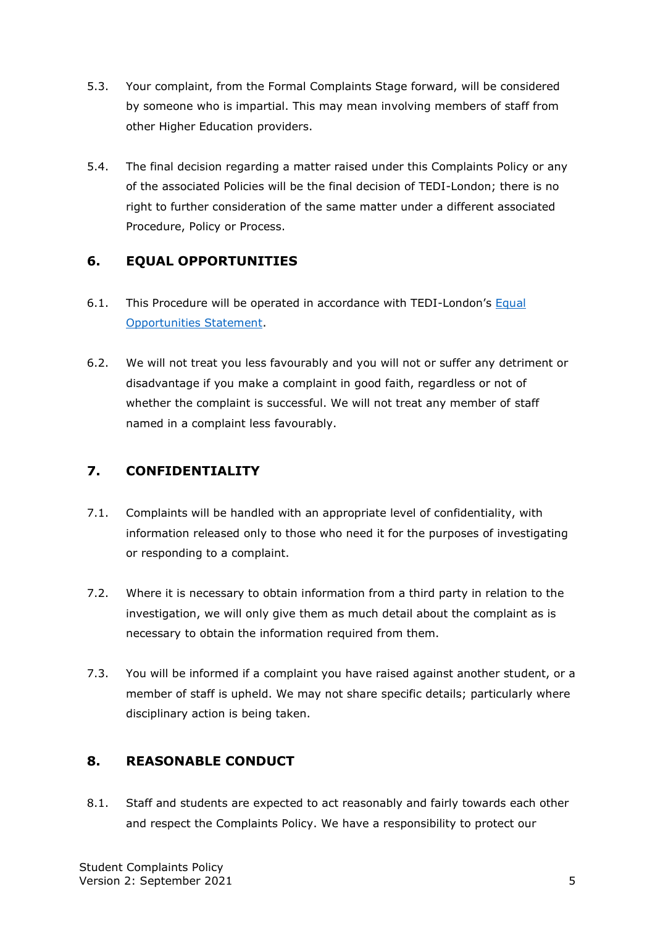- 5.3. Your complaint, from the Formal Complaints Stage forward, will be considered by someone who is impartial. This may mean involving members of staff from other Higher Education providers.
- 5.4. The final decision regarding a matter raised under this Complaints Policy or any of the associated Policies will be the final decision of TEDI-London; there is no right to further consideration of the same matter under a different associated Procedure, Policy or Process.

#### <span id="page-4-0"></span>**6. EQUAL OPPORTUNITIES**

- 6.1. This Procedure will be operated in accordance with TEDI-London's [Equal](https://tedi-london.ac.uk/policies/)  [Opportunities Statement.](https://tedi-london.ac.uk/policies/)
- 6.2. We will not treat you less favourably and you will not or suffer any detriment or disadvantage if you make a complaint in good faith, regardless or not of whether the complaint is successful. We will not treat any member of staff named in a complaint less favourably.

#### <span id="page-4-1"></span>**7. CONFIDENTIALITY**

- 7.1. Complaints will be handled with an appropriate level of confidentiality, with information released only to those who need it for the purposes of investigating or responding to a complaint.
- 7.2. Where it is necessary to obtain information from a third party in relation to the investigation, we will only give them as much detail about the complaint as is necessary to obtain the information required from them.
- 7.3. You will be informed if a complaint you have raised against another student, or a member of staff is upheld. We may not share specific details; particularly where disciplinary action is being taken.

#### <span id="page-4-2"></span>**8. REASONABLE CONDUCT**

8.1. Staff and students are expected to act reasonably and fairly towards each other and respect the Complaints Policy. We have a responsibility to protect our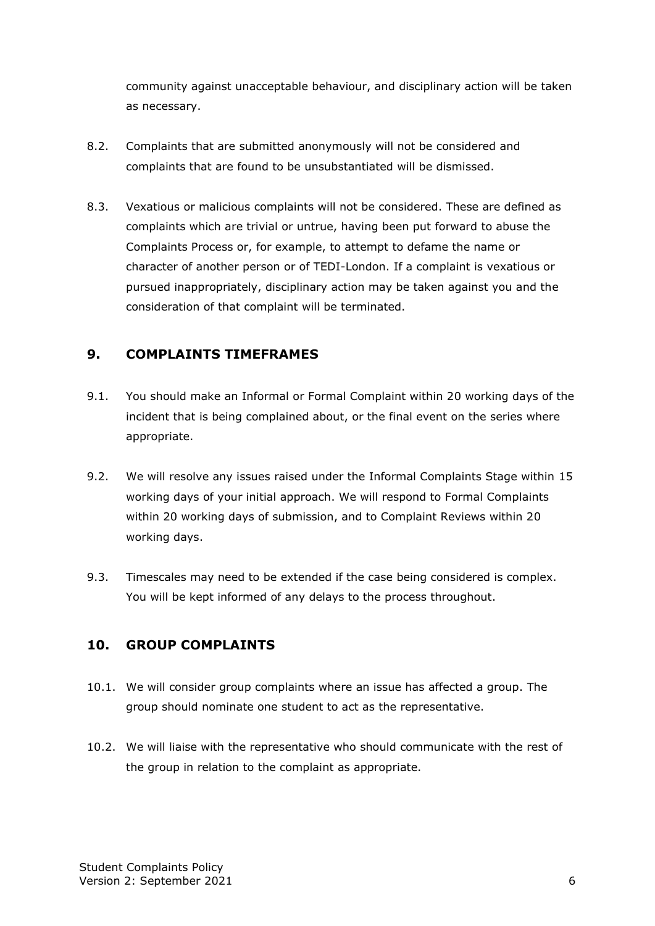community against unacceptable behaviour, and disciplinary action will be taken as necessary.

- 8.2. Complaints that are submitted anonymously will not be considered and complaints that are found to be unsubstantiated will be dismissed.
- 8.3. Vexatious or malicious complaints will not be considered. These are defined as complaints which are trivial or untrue, having been put forward to abuse the Complaints Process or, for example, to attempt to defame the name or character of another person or of TEDI-London. If a complaint is vexatious or pursued inappropriately, disciplinary action may be taken against you and the consideration of that complaint will be terminated.

#### <span id="page-5-0"></span>**9. COMPLAINTS TIMEFRAMES**

- 9.1. You should make an Informal or Formal Complaint within 20 working days of the incident that is being complained about, or the final event on the series where appropriate.
- 9.2. We will resolve any issues raised under the Informal Complaints Stage within 15 working days of your initial approach. We will respond to Formal Complaints within 20 working days of submission, and to Complaint Reviews within 20 working days.
- 9.3. Timescales may need to be extended if the case being considered is complex. You will be kept informed of any delays to the process throughout.

#### <span id="page-5-1"></span>**10. GROUP COMPLAINTS**

- 10.1. We will consider group complaints where an issue has affected a group. The group should nominate one student to act as the representative.
- 10.2. We will liaise with the representative who should communicate with the rest of the group in relation to the complaint as appropriate.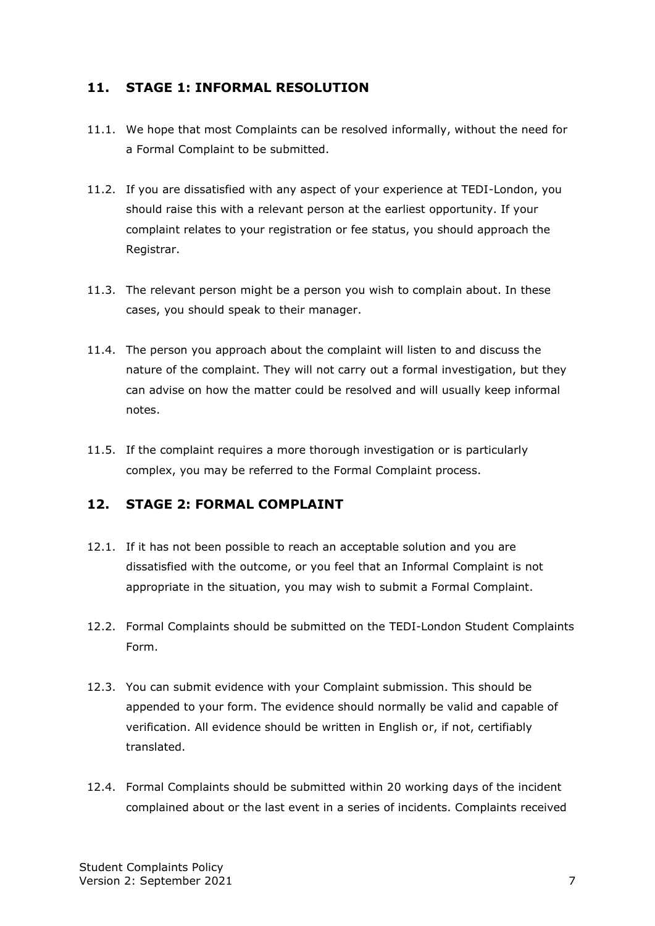#### <span id="page-6-0"></span>**11. STAGE 1: INFORMAL RESOLUTION**

- 11.1. We hope that most Complaints can be resolved informally, without the need for a Formal Complaint to be submitted.
- 11.2. If you are dissatisfied with any aspect of your experience at TEDI-London, you should raise this with a relevant person at the earliest opportunity. If your complaint relates to your registration or fee status, you should approach the Registrar.
- 11.3. The relevant person might be a person you wish to complain about. In these cases, you should speak to their manager.
- 11.4. The person you approach about the complaint will listen to and discuss the nature of the complaint. They will not carry out a formal investigation, but they can advise on how the matter could be resolved and will usually keep informal notes.
- 11.5. If the complaint requires a more thorough investigation or is particularly complex, you may be referred to the Formal Complaint process.

# <span id="page-6-1"></span>**12. STAGE 2: FORMAL COMPLAINT**

- 12.1. If it has not been possible to reach an acceptable solution and you are dissatisfied with the outcome, or you feel that an Informal Complaint is not appropriate in the situation, you may wish to submit a Formal Complaint.
- 12.2. Formal Complaints should be submitted on the TEDI-London Student Complaints Form.
- 12.3. You can submit evidence with your Complaint submission. This should be appended to your form. The evidence should normally be valid and capable of verification. All evidence should be written in English or, if not, certifiably translated.
- 12.4. Formal Complaints should be submitted within 20 working days of the incident complained about or the last event in a series of incidents. Complaints received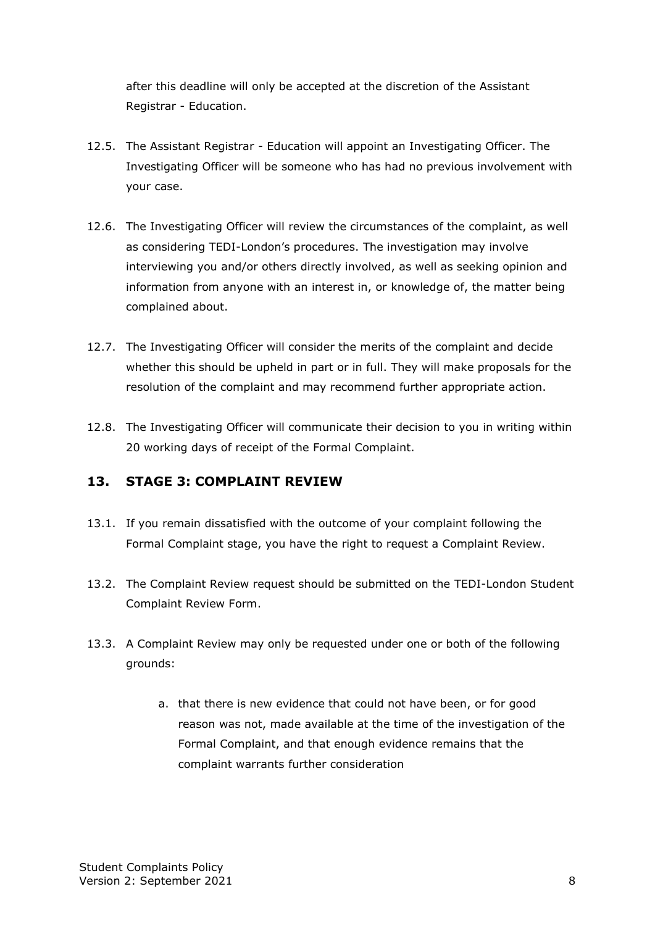after this deadline will only be accepted at the discretion of the Assistant Registrar - Education.

- 12.5. The Assistant Registrar Education will appoint an Investigating Officer. The Investigating Officer will be someone who has had no previous involvement with your case.
- 12.6. The Investigating Officer will review the circumstances of the complaint, as well as considering TEDI-London's procedures. The investigation may involve interviewing you and/or others directly involved, as well as seeking opinion and information from anyone with an interest in, or knowledge of, the matter being complained about.
- 12.7. The Investigating Officer will consider the merits of the complaint and decide whether this should be upheld in part or in full. They will make proposals for the resolution of the complaint and may recommend further appropriate action.
- 12.8. The Investigating Officer will communicate their decision to you in writing within 20 working days of receipt of the Formal Complaint.

# <span id="page-7-0"></span>**13. STAGE 3: COMPLAINT REVIEW**

- 13.1. If you remain dissatisfied with the outcome of your complaint following the Formal Complaint stage, you have the right to request a Complaint Review.
- 13.2. The Complaint Review request should be submitted on the TEDI-London Student Complaint Review Form.
- 13.3. A Complaint Review may only be requested under one or both of the following grounds:
	- a. that there is new evidence that could not have been, or for good reason was not, made available at the time of the investigation of the Formal Complaint, and that enough evidence remains that the complaint warrants further consideration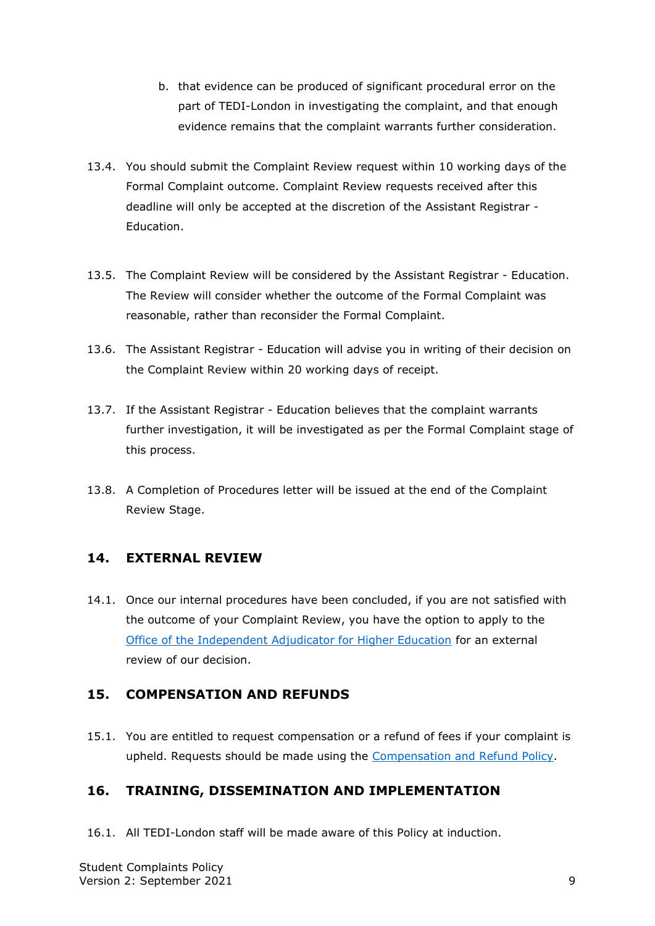- b. that evidence can be produced of significant procedural error on the part of TEDI-London in investigating the complaint, and that enough evidence remains that the complaint warrants further consideration.
- 13.4. You should submit the Complaint Review request within 10 working days of the Formal Complaint outcome. Complaint Review requests received after this deadline will only be accepted at the discretion of the Assistant Registrar - Education.
- 13.5. The Complaint Review will be considered by the Assistant Registrar Education. The Review will consider whether the outcome of the Formal Complaint was reasonable, rather than reconsider the Formal Complaint.
- 13.6. The Assistant Registrar Education will advise you in writing of their decision on the Complaint Review within 20 working days of receipt.
- 13.7. If the Assistant Registrar Education believes that the complaint warrants further investigation, it will be investigated as per the Formal Complaint stage of this process.
- 13.8. A Completion of Procedures letter will be issued at the end of the Complaint Review Stage.

#### <span id="page-8-0"></span>**14. EXTERNAL REVIEW**

14.1. Once our internal procedures have been concluded, if you are not satisfied with the outcome of your Complaint Review, you have the option to apply to the [Office of the Independent Adjudicator for Higher Education](http://www.oiahe.org.uk/) for an external review of our decision.

#### <span id="page-8-1"></span>**15. COMPENSATION AND REFUNDS**

15.1. You are entitled to request compensation or a refund of fees if your complaint is upheld. Requests should be made using the [Compensation and Refund Policy.](https://tedi-london.ac.uk/policies/)

# <span id="page-8-2"></span>**16. TRAINING, DISSEMINATION AND IMPLEMENTATION**

16.1. All TEDI-London staff will be made aware of this Policy at induction.